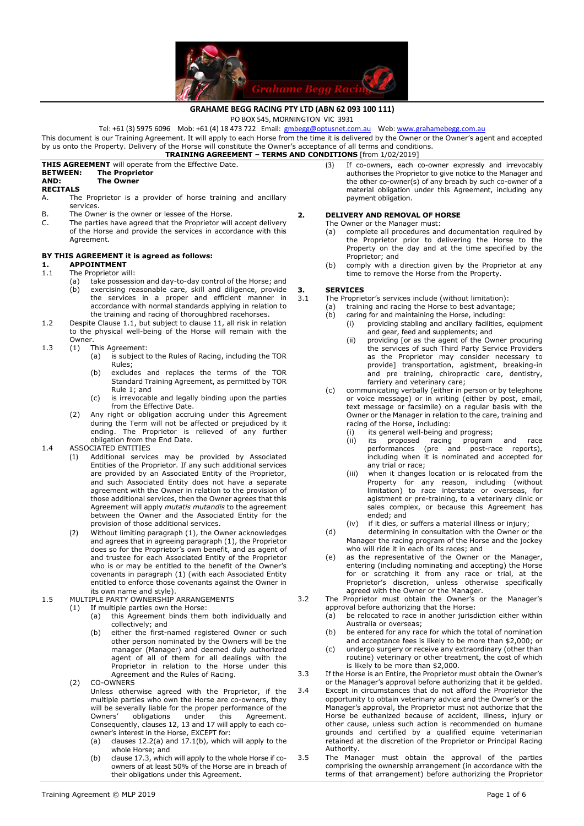

## **GRAHAME BEGG RACING PTY LTD (ABN 62 093 100 111)**

PO BOX 545, MORNINGTON VIC 3931

Tel: +61 (3) 5975 6096 Mob: +61 (4) 18 473 722 Email: **gmbegg@optusnet.com.au** Web: www.grahamebegg.com.au

This document is our Training Agreement. It will apply to each Horse from the time it is delivered by the Owner or the Owner's agent and accepted by us onto the Property. Delivery of the Horse will constitute the Owner's acceptance of all terms and conditions.

## **TRAINING AGREEMENT – TERMS AND CONDITIONS** [from 1/02/2019]

# **THIS AGREEMENT** will operate from the Effective Date.

#### **BETWEEN: The Proprietor The Owner**

**RECITALS**<br>A. The

- The Proprietor is a provider of horse training and ancillary services.
- B. The Owner is the owner or lessee of the Horse.<br>C. The parties have agreed that the Proprietor will
- The parties have agreed that the Proprietor will accept delivery of the Horse and provide the services in accordance with this Agreement.

## **BY THIS AGREEMENT it is agreed as follows:**

- **1. APPOINTMENT**<br>1.1 The Proprietor w The Proprietor will:
	- (a) take possession and day-to-day control of the Horse; and
		- (b) exercising reasonable care, skill and diligence, provide the services in a proper and efficient manner in accordance with normal standards applying in relation to the training and racing of thoroughbred racehorses.
- 1.2 Despite Clause 1.1, but subject to clause 11, all risk in relation to the physical well-being of the Horse will remain with the Owner.
- 1.3 (1) This Agreement:
	- (a) is subject to the Rules of Racing, including the TOR Rules;
	- (b) excludes and replaces the terms of the TOR Standard Training Agreement, as permitted by TOR Rule 1; and
	- (c) is irrevocable and legally binding upon the parties from the Effective Date.
	- (2) Any right or obligation accruing under this Agreement during the Term will not be affected or prejudiced by it ending. The Proprietor is relieved of any further obligation from the End Date.

### 1.4 ASSOCIATED ENTITIES

- (1) Additional services may be provided by Associated Entities of the Proprietor. If any such additional services are provided by an Associated Entity of the Proprietor, and such Associated Entity does not have a separate agreement with the Owner in relation to the provision of those additional services, then the Owner agrees that this Agreement will apply *mutatis mutandis* to the agreement between the Owner and the Associated Entity for the provision of those additional services.
- (2) Without limiting paragraph (1), the Owner acknowledges and agrees that in agreeing paragraph (1), the Proprietor does so for the Proprietor's own benefit, and as agent of and trustee for each Associated Entity of the Proprietor who is or may be entitled to the benefit of the Owner's covenants in paragraph (1) (with each Associated Entity entitled to enforce those covenants against the Owner in its own name and style).
- 1.5 MULTIPLE PARTY OWNERSHIP ARRANGEMENTS
	- (1) If multiple parties own the Horse:
		- (a) this Agreement binds them both individually and collectively; and
		- either the first-named registered Owner or such other person nominated by the Owners will be the manager (Manager) and deemed duly authorized agent of all of them for all dealings with the Proprietor in relation to the Horse under this Agreement and the Rules of Racing.
		- (2) CO-OWNERS
			- Unless otherwise agreed with the Proprietor, if the multiple parties who own the Horse are co-owners, they will be severally liable for the proper performance of the Owners' obligations under this Agreement. Owners' obligations under this Agreement. Consequently, clauses 12, 13 and 17 will apply to each coowner's interest in the Horse, EXCEPT for:
			- (a) clauses  $12.2(a)$  and  $17.1(b)$ , which will apply to the whole Horse; and
			- (b) clause 17.3, which will apply to the whole Horse if coowners of at least 50% of the Horse are in breach of their obligations under this Agreement.

(3) If co-owners, each co-owner expressly and irrevocably authorises the Proprietor to give notice to the Manager and the other co-owner(s) of any breach by such co-owner of a material obligation under this Agreement, including any payment obligation.

### **2. DELIVERY AND REMOVAL OF HORSE**

The Owner or the Manager must:<br>
(a) complete all procedures an

- complete all procedures and documentation required by the Proprietor prior to delivering the Horse to the Property on the day and at the time specified by the Proprietor; and
- (b) comply with a direction given by the Proprietor at any time to remove the Horse from the Property.

# **3. SERVICES**<br>3.1 The Proprie

- The Proprietor's services include (without limitation):
- (a) training and racing the Horse to best advantage;
- (b) caring for and maintaining the Horse, including: (i) providing stabling and ancillary facilities, equipment
	- and gear, feed and supplements; and (ii) providing [or as the agent of the Owner procuring the services of such Third Party Service Providers as the Proprietor may consider necessary to provide] transportation, agistment, breaking-in and pre training, chiropractic care, dentistry, farriery and veterinary care;
- (c) communicating verbally (either in person or by telephone or voice message) or in writing (either by post, email, text message or facsimile) on a regular basis with the Owner or the Manager in relation to the care, training and racing of the Horse, including:
	- (i) its general well-being and progress;
	- (ii) its proposed racing program and race performances (pre and post-race reports), including when it is nominated and accepted for any trial or race;
	- (iii) when it changes location or is relocated from the Property for any reason, including (without limitation) to race interstate or overseas, for agistment or pre-training, to a veterinary clinic or sales complex, or because this Agreement has ended; and
	- (iv) if it dies, or suffers a material illness or injury;
- (d) determining in consultation with the Owner or the Manager the racing program of the Horse and the jockey who will ride it in each of its races; and
- (e) as the representative of the Owner or the Manager, entering (including nominating and accepting) the Horse for or scratching it from any race or trial, at the Proprietor's discretion, unless otherwise specifically agreed with the Owner or the Manager.
- 3.2 The Proprietor must obtain the Owner's or the Manager's approval before authorizing that the Horse:
	- (a) be relocated to race in another jurisdiction either within Australia or overseas;
	- (b) be entered for any race for which the total of nomination and acceptance fees is likely to be more than \$2,000; or
	- (c) undergo surgery or receive any extraordinary (other than routine) veterinary or other treatment, the cost of which is likely to be more than \$2,000.
- 3.3 If the Horse is an Entire, the Proprietor must obtain the Owner's or the Manager's approval before authorizing that it be gelded.
- 3.4 Except in circumstances that do not afford the Proprietor the opportunity to obtain veterinary advice and the Owner's or the Manager's approval, the Proprietor must not authorize that the Horse be euthanized because of accident, illness, injury or other cause, unless such action is recommended on humane grounds and certified by a qualified equine veterinarian retained at the discretion of the Proprietor or Principal Racing Authority.
- 3.5 The Manager must obtain the approval of the parties comprising the ownership arrangement (in accordance with the terms of that arrangement) before authorizing the Proprietor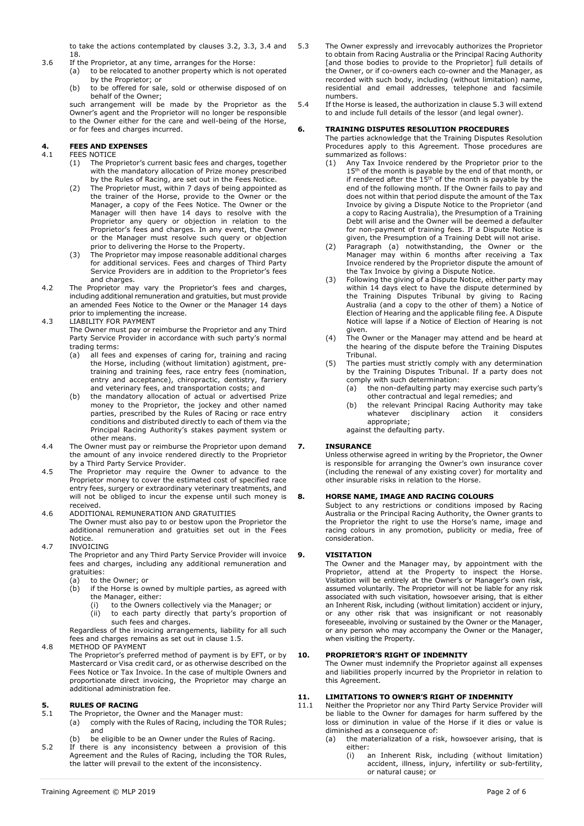to take the actions contemplated by clauses 3.2, 3.3, 3.4 and 18.

- 
- 3.6 If the Proprietor, at any time, arranges for the Horse:
	- (a) to be relocated to another property which is not operated by the Proprietor; or
	- (b) to be offered for sale, sold or otherwise disposed of on behalf of the Owner;

such arrangement will be made by the Proprietor as the Owner's agent and the Proprietor will no longer be responsible to the Owner either for the care and well-being of the Horse, or for fees and charges incurred.

# **4. FEES AND EXPENSES**

- **FEES NOTICE** 
	- (1) The Proprietor's current basic fees and charges, together with the mandatory allocation of Prize money prescribed by the Rules of Racing, are set out in the Fees Notice.
	- (2) The Proprietor must, within 7 days of being appointed as the trainer of the Horse, provide to the Owner or the Manager, a copy of the Fees Notice. The Owner or the Manager will then have 14 days to resolve with the Proprietor any query or objection in relation to the Proprietor's fees and charges. In any event, the Owner or the Manager must resolve such query or objection prior to delivering the Horse to the Property.
	- (3) The Proprietor may impose reasonable additional charges for additional services. Fees and charges of Third Party Service Providers are in addition to the Proprietor's fees and charges.
- 4.2 The Proprietor may vary the Proprietor's fees and charges, including additional remuneration and gratuities, but must provide an amended Fees Notice to the Owner or the Manager 14 days prior to implementing the increase.
- 4.3 LIABILITY FOR PAYMENT

 The Owner must pay or reimburse the Proprietor and any Third Party Service Provider in accordance with such party's normal trading terms:

- (a) all fees and expenses of caring for, training and racing the Horse, including (without limitation) agistment, pretraining and training fees, race entry fees (nomination, entry and acceptance), chiropractic, dentistry, farriery and veterinary fees, and transportation costs; and
- (b) the mandatory allocation of actual or advertised Prize money to the Proprietor, the jockey and other named parties, prescribed by the Rules of Racing or race entry conditions and distributed directly to each of them via the Principal Racing Authority's stakes payment system or other means.
- 4.4 The Owner must pay or reimburse the Proprietor upon demand the amount of any invoice rendered directly to the Proprietor by a Third Party Service Provider.
- 4.5 The Proprietor may require the Owner to advance to the Proprietor money to cover the estimated cost of specified race entry fees, surgery or extraordinary veterinary treatments, and will not be obliged to incur the expense until such money is received.

#### 4.6 ADDITIONAL REMUNERATION AND GRATUITIES The Owner must also pay to or bestow upon the Proprietor the additional remuneration and gratuities set out in the Fees

**Notice** 4.7 INVOICING

 The Proprietor and any Third Party Service Provider will invoice fees and charges, including any additional remuneration and gratuities:

- (a) to the Owner; or
- (b) if the Horse is owned by multiple parties, as agreed with
	- the Manager, either:<br>(i) to the Owners to the Owners collectively via the Manager; or
	- (ii) to each party directly that party's proportion of such fees and charges.

Regardless of the invoicing arrangements, liability for all such fees and charges remains as set out in clause 1.5. 4.8 METHOD OF PAYMENT

 The Proprietor's preferred method of payment is by EFT, or by Mastercard or Visa credit card, or as otherwise described on the Fees Notice or Tax Invoice. In the case of multiple Owners and proportionate direct invoicing, the Proprietor may charge an additional administration fee.

# **5. RULES OF RACING**<br>5.1 The Proprietor, the 0

- The Proprietor, the Owner and the Manager must:
	- (a) comply with the Rules of Racing, including the TOR Rules; and
- (b) be eligible to be an Owner under the Rules of Racing.
- 5.2 If there is any inconsistency between a provision of this Agreement and the Rules of Racing, including the TOR Rules, the latter will prevail to the extent of the inconsistency.
- 5.3 The Owner expressly and irrevocably authorizes the Proprietor to obtain from Racing Australia or the Principal Racing Authority [and those bodies to provide to the Proprietor] full details of the Owner, or if co-owners each co-owner and the Manager, as recorded with such body, including (without limitation) name, residential and email addresses, telephone and facsimile numbers.
- 5.4 If the Horse is leased, the authorization in clause 5.3 will extend to and include full details of the lessor (and legal owner).

### **6. TRAINING DISPUTES RESOLUTION PROCEDURES**

 The parties acknowledge that the Training Disputes Resolution Procedures apply to this Agreement. Those procedures are summarized as follows:

- (1) Any Tax Invoice rendered by the Proprietor prior to the  $15<sup>th</sup>$  of the month is payable by the end of that month, or if rendered after the  $15<sup>th</sup>$  of the month is payable by the end of the following month. If the Owner fails to pay and does not within that period dispute the amount of the Tax Invoice by giving a Dispute Notice to the Proprietor (and a copy to Racing Australia), the Presumption of a Training Debt will arise and the Owner will be deemed a defaulter for non-payment of training fees. If a Dispute Notice is given, the Presumption of a Training Debt will not arise.
- (2) Paragraph (a) notwithstanding, the Owner or the Manager may within 6 months after receiving a Tax Invoice rendered by the Proprietor dispute the amount of the Tax Invoice by giving a Dispute Notice.
- (3) Following the giving of a Dispute Notice, either party may within 14 days elect to have the dispute determined by the Training Disputes Tribunal by giving to Racing Australia (and a copy to the other of them) a Notice of Election of Hearing and the applicable filing fee. A Dispute Notice will lapse if a Notice of Election of Hearing is not given.
- (4) The Owner or the Manager may attend and be heard at the hearing of the dispute before the Training Disputes Tribunal.
- (5) The parties must strictly comply with any determination by the Training Disputes Tribunal. If a party does not comply with such determination:
	- (a)  $\overrightarrow{h}$  the non-defaulting party may exercise such party's other contractual and legal remedies; and
	- (b) the relevant Principal Racing Authority may take<br>whatever disciplinary action it considers disciplinary appropriate;
	- against the defaulting party.

### **7. INSURANCE**

Unless otherwise agreed in writing by the Proprietor, the Owner is responsible for arranging the Owner's own insurance cover (including the renewal of any existing cover) for mortality and other insurable risks in relation to the Horse.

### **8. HORSE NAME, IMAGE AND RACING COLOURS**

Subject to any restrictions or conditions imposed by Racing Australia or the Principal Racing Authority, the Owner grants to the Proprietor the right to use the Horse's name, image and racing colours in any promotion, publicity or media, free of consideration.

### **9. VISITATION**

 The Owner and the Manager may, by appointment with the Proprietor, attend at the Property to inspect the Horse. Visitation will be entirely at the Owner's or Manager's own risk, assumed voluntarily. The Proprietor will not be liable for any risk associated with such visitation, howsoever arising, that is either an Inherent Risk, including (without limitation) accident or injury, or any other risk that was insignificant or not reasonably foreseeable, involving or sustained by the Owner or the Manager, or any person who may accompany the Owner or the Manager, when visiting the Property.

### **10. PROPRIETOR'S RIGHT OF INDEMNITY**

 The Owner must indemnify the Proprietor against all expenses and liabilities properly incurred by the Proprietor in relation to this Agreement.

### **11. LIMITATIONS TO OWNER'S RIGHT OF INDEMNITY**

- 11.1 Neither the Proprietor nor any Third Party Service Provider will be liable to the Owner for damages for harm suffered by the loss or diminution in value of the Horse if it dies or value is diminished as a consequence of:
	- (a) the materialization of a risk, howsoever arising, that is either:
		- (i) an Inherent Risk, including (without limitation) accident, illness, injury, infertility or sub-fertility, or natural cause; or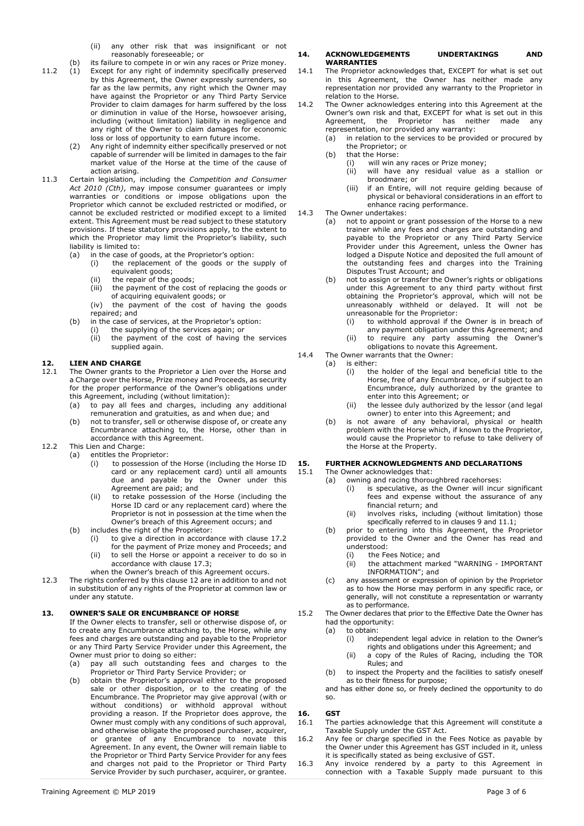(ii) any other risk that was insignificant or not reasonably foreseeable; or

- (b) its failure to compete in or win any races or Prize money.<br>(1) Except for any right of indemnity specifically preserved 11.2 (1) Except for any right of indemnity specifically preserved by this Agreement, the Owner expressly surrenders, so far as the law permits, any right which the Owner may have against the Proprietor or any Third Party Service Provider to claim damages for harm suffered by the loss or diminution in value of the Horse, howsoever arising, including (without limitation) liability in negligence and any right of the Owner to claim damages for economic loss or loss of opportunity to earn future income.
	- (2) Any right of indemnity either specifically preserved or not capable of surrender will be limited in damages to the fair market value of the Horse at the time of the cause of action arising.
- 11.3 Certain legislation, including the *Competition and Consumer Act 2010 (Cth)*, may impose consumer guarantees or imply warranties or conditions or impose obligations upon the Proprietor which cannot be excluded restricted or modified, or cannot be excluded restricted or modified except to a limited extent. This Agreement must be read subject to these statutory provisions. If these statutory provisions apply, to the extent to which the Proprietor may limit the Proprietor's liability, such liability is limited to:
	- (a) in the case of goods, at the Proprietor's option:
		- (i) the replacement of the goods or the supply of equivalent goods;
		- (ii) the repair of the goods;
		- (iii) the payment of the cost of replacing the goods or of acquiring equivalent goods; or
		- (iv) the payment of the cost of having the goods repaired; and
	- (b) in the case of services, at the Proprietor's option:
		- (i) the supplying of the services again; or
		- (ii) the payment of the cost of having the services supplied again.

# **12. LIEN AND CHARGE**<br>12.1 The Owner grants to

- The Owner grants to the Proprietor a Lien over the Horse and a Charge over the Horse, Prize money and Proceeds, as security for the proper performance of the Owner's obligations under this Agreement, including (without limitation):
	- (a) to pay all fees and charges, including any additional remuneration and gratuities, as and when due; and
	- (b) not to transfer, sell or otherwise dispose of, or create any Encumbrance attaching to, the Horse, other than in accordance with this Agreement.
- 12.2 This Lien and Charge:
	- (a) entitles the Proprietor:
		- (i) to possession of the Horse (including the Horse ID card or any replacement card) until all amounts due and payable by the Owner under this Agreement are paid; and
		- (ii) to retake possession of the Horse (including the Horse ID card or any replacement card) where the Proprietor is not in possession at the time when the Owner's breach of this Agreement occurs; and
		- (b) includes the right of the Proprietor:
			- (i) to give a direction in accordance with clause 17.2 for the payment of Prize money and Proceeds; and
			- (ii) to sell the Horse or appoint a receiver to do so in accordance with clause 17.3;
			- when the Owner's breach of this Agreement occurs.
- 12.3 The rights conferred by this clause 12 are in addition to and not in substitution of any rights of the Proprietor at common law or under any statute.

### **13. OWNER'S SALE OR ENCUMBRANCE OF HORSE**

 If the Owner elects to transfer, sell or otherwise dispose of, or to create any Encumbrance attaching to, the Horse, while any fees and charges are outstanding and payable to the Proprietor or any Third Party Service Provider under this Agreement, the Owner must prior to doing so either:

- (a) pay all such outstanding fees and charges to the Proprietor or Third Party Service Provider; or
- (b) obtain the Proprietor's approval either to the proposed sale or other disposition, or to the creating of the Encumbrance. The Proprietor may give approval (with or without conditions) or withhold approval without providing a reason. If the Proprietor does approve, the Owner must comply with any conditions of such approval, and otherwise obligate the proposed purchaser, acquirer, or grantee of any Encumbrance to novate this Agreement. In any event, the Owner will remain liable to the Proprietor or Third Party Service Provider for any fees and charges not paid to the Proprietor or Third Party Service Provider by such purchaser, acquirer, or grantee.

#### **14. ACKNOWLEDGEMENTS UNDERTAKINGS AND WARRANTIES**

- 14.1 The Proprietor acknowledges that, EXCEPT for what is set out in this Agreement, the Owner has neither made any representation nor provided any warranty to the Proprietor in relation to the Horse.
- 14.2 The Owner acknowledges entering into this Agreement at the Owner's own risk and that, EXCEPT for what is set out in this Agreement, the Proprietor has neither made any representation, nor provided any warranty:
	- (a) in relation to the services to be provided or procured by the Proprietor; or
	- (b) that the Horse:
		- (i) will win any races or Prize money;
			- $(iii)$  will have any residual value as a stallion or broodmare; or
			- (iii) if an Entire, will not require gelding because of physical or behavioral considerations in an effort to enhance racing performance.
- 14.3 The Owner undertakes:
	- (a) not to appoint or grant possession of the Horse to a new trainer while any fees and charges are outstanding and payable to the Proprietor or any Third Party Service Provider under this Agreement, unless the Owner has lodged a Dispute Notice and deposited the full amount of the outstanding fees and charges into the Training Disputes Trust Account; and
		- (b) not to assign or transfer the Owner's rights or obligations under this Agreement to any third party without first obtaining the Proprietor's approval, which will not be unreasonably withheld or delayed. It will not be unreasonable for the Proprietor:
			- (i) to withhold approval if the Owner is in breach of
			- any payment obligation under this Agreement; and (ii) to require any party assuming the Owner's
			- obligations to novate this Agreement.
- 14.4 The Owner warrants that the Owner:<br>(a) is either: is either:
	- (i) the holder of the legal and beneficial title to the Horse, free of any Encumbrance, or if subject to an Encumbrance, duly authorized by the grantee to enter into this Agreement; or
	- (ii) the lessee duly authorized by the lessor (and legal owner) to enter into this Agreement; and
	- (b) is not aware of any behavioral, physical or health problem with the Horse which, if known to the Proprietor, would cause the Proprietor to refuse to take delivery of the Horse at the Property.

#### **15. FURTHER ACKNOWLEDGMENTS AND DECLARATIONS**

- 15.1 The Owner acknowledges that:
	- (a) owning and racing thoroughbred racehorses:
		- (i) is speculative, as the Owner will incur significant fees and expense without the assurance of any financial return; and
		- (ii) involves risks, including (without limitation) those specifically referred to in clauses 9 and 11.1;
	- (b) prior to entering into this Agreement, the Proprietor provided to the Owner and the Owner has read and understood:
		- (i) the Fees Notice; and
		- (ii) the attachment marked "WARNING IMPORTANT INFORMATION"; and
	- (c) any assessment or expression of opinion by the Proprietor as to how the Horse may perform in any specific race, or generally, will not constitute a representation or warranty as to performance.
- 15.2 The Owner declares that prior to the Effective Date the Owner has had the opportunity:<br>(a) to obtain:
	- to obtain:
		- (i) independent legal advice in relation to the Owner's rights and obligations under this Agreement; and
		- (ii) a copy of the Rules of Racing, including the TOR Rules; and
	- (b) to inspect the Property and the facilities to satisfy oneself as to their fitness for purpose;

and has either done so, or freely declined the opportunity to do so.

### **16. GST**

- 16.1 The parties acknowledge that this Agreement will constitute a Taxable Supply under the GST Act.
- 16.2 Any fee or charge specified in the Fees Notice as payable by the Owner under this Agreement has GST included in it, unless it is specifically stated as being exclusive of GST.
- 16.3 Any invoice rendered by a party to this Agreement in connection with a Taxable Supply made pursuant to this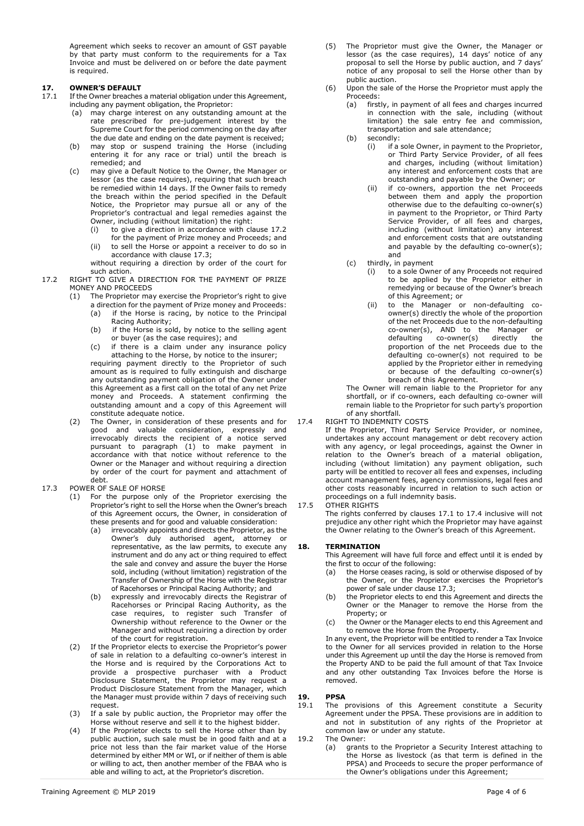Agreement which seeks to recover an amount of GST payable by that party must conform to the requirements for a Tax Invoice and must be delivered on or before the date payment is required.

# **17. OWNER'S DEFAULT**<br>17.1 If the Owner breaches

- If the Owner breaches a material obligation under this Agreement, including any payment obligation, the Proprietor:
	- (a) may charge interest on any outstanding amount at the rate prescribed for pre-judgement interest by the Supreme Court for the period commencing on the day after the due date and ending on the date payment is received;
	- (b) may stop or suspend training the Horse (including entering it for any race or trial) until the breach is remedied; and
	- (c) may give a Default Notice to the Owner, the Manager or lessor (as the case requires), requiring that such breach be remedied within 14 days. If the Owner fails to remedy the breach within the period specified in the Default Notice, the Proprietor may pursue all or any of the Proprietor's contractual and legal remedies against the Owner, including (without limitation) the right:
		- (i) to give a direction in accordance with clause 17.2 for the payment of Prize money and Proceeds; and
		- (ii) to sell the Horse or appoint a receiver to do so in accordance with clause 17.3;

without requiring a direction by order of the court for such action.

- 17.2 RIGHT TO GIVE A DIRECTION FOR THE PAYMENT OF PRIZE MONEY AND PROCEEDS
	- The Proprietor may exercise the Proprietor's right to give
		- a direction for the payment of Prize money and Proceeds: (a) if the Horse is racing, by notice to the Principal Racing Authority;
		- (b) if the Horse is sold, by notice to the selling agent or buyer (as the case requires); and
		- (c) if there is a claim under any insurance policy attaching to the Horse, by notice to the insurer; requiring payment directly to the Proprietor of such amount as is required to fully extinguish and discharge any outstanding payment obligation of the Owner under this Agreement as a first call on the total of any net Prize money and Proceeds. A statement confirming the outstanding amount and a copy of this Agreement will constitute adequate notice.
	- (2) The Owner, in consideration of these presents and for good and valuable consideration, expressly and irrevocably directs the recipient of a notice served pursuant to paragraph (1) to make payment in accordance with that notice without reference to the Owner or the Manager and without requiring a direction by order of the court for payment and attachment of debt.
- 17.3 POWER OF SALE OF HORSE
	- (1) For the purpose only of the Proprietor exercising the Proprietor's right to sell the Horse when the Owner's breach of this Agreement occurs, the Owner, in consideration of these presents and for good and valuable consideration:
		- (a) irrevocably appoints and directs the Proprietor, as the Owner's duly authorised agent, attorney or representative, as the law permits, to execute any instrument and do any act or thing required to effect the sale and convey and assure the buyer the Horse sold, including (without limitation) registration of the Transfer of Ownership of the Horse with the Registrar of Racehorses or Principal Racing Authority; and
		- (b) expressly and irrevocably directs the Registrar of Racehorses or Principal Racing Authority, as the case requires, to register such Transfer of Ownership without reference to the Owner or the Manager and without requiring a direction by order of the court for registration.
	- (2) If the Proprietor elects to exercise the Proprietor's power of sale in relation to a defaulting co-owner's interest in the Horse and is required by the Corporations Act to provide a prospective purchaser with a Product Disclosure Statement, the Proprietor may request a Product Disclosure Statement from the Manager, which the Manager must provide within 7 days of receiving such request.
	- (3) If a sale by public auction, the Proprietor may offer the Horse without reserve and sell it to the highest bidder.
	- (4) If the Proprietor elects to sell the Horse other than by public auction, such sale must be in good faith and at a price not less than the fair market value of the Horse determined by either MM or WI, or if neither of them is able or willing to act, then another member of the FBAA who is able and willing to act, at the Proprietor's discretion.
- (5) The Proprietor must give the Owner, the Manager or lessor (as the case requires), 14 days' notice of any proposal to sell the Horse by public auction, and 7 days' notice of any proposal to sell the Horse other than by public auction.
- (6) Upon the sale of the Horse the Proprietor must apply the Proceeds:
	- (a) firstly, in payment of all fees and charges incurred in connection with the sale, including (without limitation) the sale entry fee and commission, transportation and sale attendance; (b) secondly:
		- (i) if a sole Owner, in payment to the Proprietor, or Third Party Service Provider, of all fees and charges, including (without limitation) any interest and enforcement costs that are outstanding and payable by the Owner; or
		- (ii) if co-owners, apportion the net Proceeds between them and apply the proportion otherwise due to the defaulting co-owner(s) in payment to the Proprietor, or Third Party Service Provider, of all fees and charges, including (without limitation) any interest and enforcement costs that are outstanding and payable by the defaulting co-owner(s); and
	- (c) thirdly, in payment
		- (i) to a sole Owner of any Proceeds not required to be applied by the Proprietor either in remedying or because of the Owner's breach of this Agreement; or
		- (ii) to the Manager or non-defaulting coowner(s) directly the whole of the proportion of the net Proceeds due to the non-defaulting co-owner(s), AND to the Manager or defaulting co-owner(s) directly the proportion of the net Proceeds due to the defaulting co-owner(s) not required to be applied by the Proprietor either in remedying or because of the defaulting co-owner(s) breach of this Agreement.

The Owner will remain liable to the Proprietor for any shortfall, or if co-owners, each defaulting co-owner will remain liable to the Proprietor for such party's proportion of any shortfall.

- 17.4 RIGHT TO INDEMNITY COSTS
	- If the Proprietor, Third Party Service Provider, or nominee, undertakes any account management or debt recovery action with any agency, or legal proceedings, against the Owner in relation to the Owner's breach of a material obligation, including (without limitation) any payment obligation, such party will be entitled to recover all fees and expenses, including account management fees, agency commissions, legal fees and other costs reasonably incurred in relation to such action or proceedings on a full indemnity basis.

### 17.5 OTHER RIGHTS

The rights conferred by clauses 17.1 to 17.4 inclusive will not prejudice any other right which the Proprietor may have against the Owner relating to the Owner's breach of this Agreement.

### **18. TERMINATION**

 This Agreement will have full force and effect until it is ended by the first to occur of the following:

- (a) the Horse ceases racing, is sold or otherwise disposed of by the Owner, or the Proprietor exercises the Proprietor's power of sale under clause 17.3;
- (b) the Proprietor elects to end this Agreement and directs the Owner or the Manager to remove the Horse from the Property; or
- (c) the Owner or the Manager elects to end this Agreement and to remove the Horse from the Property.

In any event, the Proprietor will be entitled to render a Tax Invoice to the Owner for all services provided in relation to the Horse under this Agreement up until the day the Horse is removed from the Property AND to be paid the full amount of that Tax Invoice and any other outstanding Tax Invoices before the Horse is removed.

### **19. PPSA**

- 19.1 The provisions of this Agreement constitute a Security Agreement under the PPSA. These provisions are in addition to and not in substitution of any rights of the Proprietor at common law or under any statute.
- 19.2 The Owner:
	- (a) grants to the Proprietor a Security Interest attaching to the Horse as livestock (as that term is defined in the PPSA) and Proceeds to secure the proper performance of the Owner's obligations under this Agreement;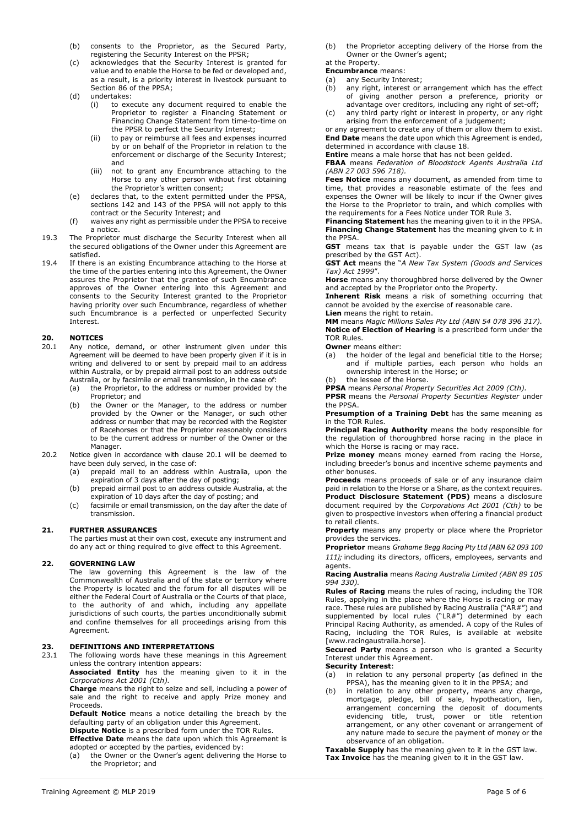- (b) consents to the Proprietor, as the Secured Party, registering the Security Interest on the PPSR;
- (c) acknowledges that the Security Interest is granted for value and to enable the Horse to be fed or developed and, as a result, is a priority interest in livestock pursuant to Section 86 of the PPSA;
- (d) undertakes:
	- (i) to execute any document required to enable the Proprietor to register a Financing Statement or Financing Change Statement from time-to-time on the PPSR to perfect the Security Interest;
	- (ii) to pay or reimburse all fees and expenses incurred by or on behalf of the Proprietor in relation to the enforcement or discharge of the Security Interest; and
	- (iii) not to grant any Encumbrance attaching to the Horse to any other person without first obtaining the Proprietor's written consent;
- (e) declares that, to the extent permitted under the PPSA, sections 142 and 143 of the PPSA will not apply to this contract or the Security Interest; and
- (f) waives any right as permissible under the PPSA to receive a notice.
- 19.3 The Proprietor must discharge the Security Interest when all the secured obligations of the Owner under this Agreement are satisfied.
- 19.4 If there is an existing Encumbrance attaching to the Horse at the time of the parties entering into this Agreement, the Owner assures the Proprietor that the grantee of such Encumbrance approves of the Owner entering into this Agreement and consents to the Security Interest granted to the Proprietor having priority over such Encumbrance, regardless of whether such Encumbrance is a perfected or unperfected Security Interest.

# **20. NOTICES**<br> **20.1** Any notic

- Any notice, demand, or other instrument given under this Agreement will be deemed to have been properly given if it is in writing and delivered to or sent by prepaid mail to an address within Australia, or by prepaid airmail post to an address outside Australia, or by facsimile or email transmission, in the case of:
	- (a) the Proprietor, to the address or number provided by the Proprietor; and
	- (b) the Owner or the Manager, to the address or number provided by the Owner or the Manager, or such other address or number that may be recorded with the Register of Racehorses or that the Proprietor reasonably considers to be the current address or number of the Owner or the Manager.
- 20.2 Notice given in accordance with clause 20.1 will be deemed to have been duly served, in the case of:
	- (a) prepaid mail to an address within Australia, upon the expiration of 3 days after the day of posting;
	- (b) prepaid airmail post to an address outside Australia, at the expiration of 10 days after the day of posting; and
	- (c) facsimile or email transmission, on the day after the date of transmission.

### **21. FURTHER ASSURANCES**

 The parties must at their own cost, execute any instrument and do any act or thing required to give effect to this Agreement.

### **22. GOVERNING LAW**

 The law governing this Agreement is the law of the Commonwealth of Australia and of the state or territory where the Property is located and the forum for all disputes will be either the Federal Court of Australia or the Courts of that place, to the authority of and which, including any appellate jurisdictions of such courts, the parties unconditionally submit and confine themselves for all proceedings arising from this Agreement.

# **23. DEFINITIONS AND INTERPRETATIONS**<br>23.1 The following words have these meaning

The following words have these meanings in this Agreement unless the contrary intention appears:

**Associated Entity** has the meaning given to it in the *Corporations Act 2001 (Cth).*

**Charge** means the right to seize and sell, including a power of sale and the right to receive and apply Prize money and Proceeds.

**Default Notice** means a notice detailing the breach by the defaulting party of an obligation under this Agreement.

**Dispute Notice** is a prescribed form under the TOR Rules. **Effective Date** means the date upon which this Agreement is

- adopted or accepted by the parties, evidenced by: (a) the Owner or the Owner's agent delivering the Horse to
- the Proprietor; and

(b) the Proprietor accepting delivery of the Horse from the Owner or the Owner's agent;

## at the Property.

 **Encumbrance** means:

- (a) any Security Interest; (b) any right, interest or arrangement which has the effect of giving another person a preference, priority or
- advantage over creditors, including any right of set-off; (c) any third party right or interest in property, or any right arising from the enforcement of a judgement;

or any agreement to create any of them or allow them to exist. **End Date** means the date upon which this Agreement is ended, determined in accordance with clause 18.

**Entire** means a male horse that has not been gelded.

**FBAA** means *Federation of Bloodstock Agents Australia Ltd (ABN 27 003 596 718).*

**Fees Notice** means any document, as amended from time to time, that provides a reasonable estimate of the fees and expenses the Owner will be likely to incur if the Owner gives the Horse to the Proprietor to train, and which complies with the requirements for a Fees Notice under TOR Rule 3.

**Financing Statement** has the meaning given to it in the PPSA. **Financing Change Statement** has the meaning given to it in the PPSA.

**GST** means tax that is payable under the GST law (as prescribed by the GST Act).

**GST Act** means the "*A New Tax System (Goods and Services Tax) Act 1999*".

**Horse** means any thoroughbred horse delivered by the Owner and accepted by the Proprietor onto the Property.

**Inherent Risk** means a risk of something occurring that cannot be avoided by the exercise of reasonable care. **Lien** means the right to retain.

**MM** means *Magic Millions Sales Pty Ltd (ABN 54 078 396 317).* **Notice of Election of Hearing** is a prescribed form under the TOR Rules.

**Owner** means either:

(a) the holder of the legal and beneficial title to the Horse; and if multiple parties, each person who holds an ownership interest in the Horse; or

(b) the lessee of the Horse.

**PPSA** means *Personal Property Securities Act 2009 (Cth).*

**PPSR** means the *Personal Property Securities Register* under the PPSA.

**Presumption of a Training Debt** has the same meaning as in the TOR Rules.

**Principal Racing Authority** means the body responsible for the regulation of thoroughbred horse racing in the place in which the Horse is racing or may race.

**Prize money** means money earned from racing the Horse, including breeder's bonus and incentive scheme payments and other bonuses.

**Proceeds** means proceeds of sale or of any insurance claim paid in relation to the Horse or a Share, as the context requires. **Product Disclosure Statement (PDS)** means a disclosure document required by the *Corporations Act 2001 (Cth)* to be given to prospective investors when offering a financial product to retail clients.

**Property** means any property or place where the Proprietor provides the services.

**Proprietor** means *Grahame Begg Racing Pty Ltd (ABN 62 093 100 111);* including its directors, officers, employees, servants and agents.

**Racing Australia** means *Racing Australia Limited (ABN 89 105 994 330).*

**Rules of Racing** means the rules of racing, including the TOR Rules, applying in the place where the Horse is racing or may race. These rules are published by Racing Australia ("AR#") and supplemented by local rules ("LR#") determined by each Principal Racing Authority, as amended. A copy of the Rules of Racing, including the TOR Rules, is available at website [www.racingaustralia.horse].

**Secured Party** means a person who is granted a Security Interest under this Agreement.

**Security Interest**:

- (a) in relation to any personal property (as defined in the PPSA), has the meaning given to it in the PPSA; and
- (b) in relation to any other property, means any charge, mortgage, pledge, bill of sale, hypothecation, lien, arrangement concerning the deposit of documents evidencing title, trust, power or title retention arrangement, or any other covenant or arrangement of any nature made to secure the payment of money or the observance of an obligation.

**Taxable Supply** has the meaning given to it in the GST law. **Tax Invoice** has the meaning given to it in the GST law.